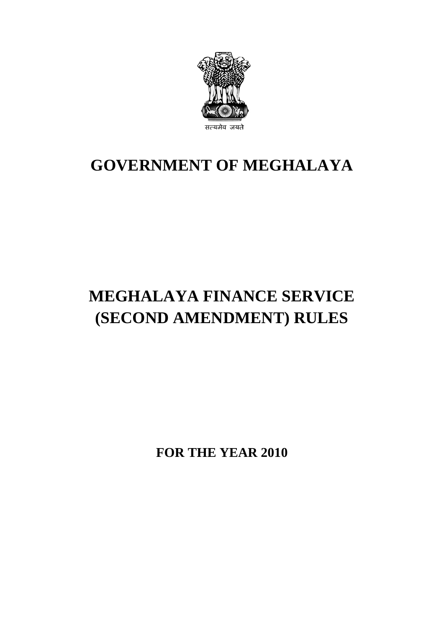

## **GOVERNMENT OF MEGHALAYA**

# **MEGHALAYA FINANCE SERVICE (SECOND AMENDMENT) RULES**

**FOR THE YEAR 2010**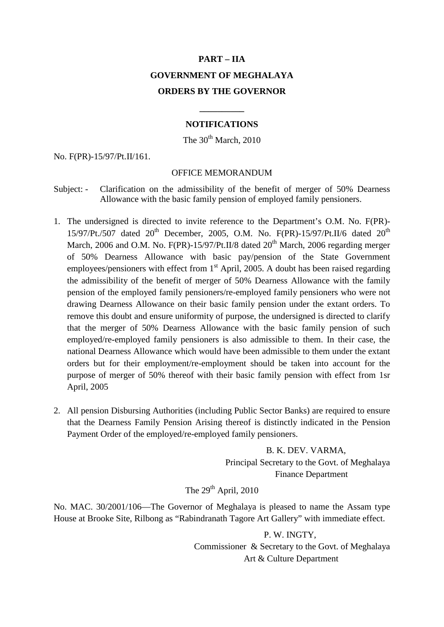## **PART – IIA GOVERNMENT OF MEGHALAYA ORDERS BY THE GOVERNOR**

#### **NOTIFICATIONS**

**\_\_\_\_\_\_\_\_\_\_**

The  $30^{th}$  March,  $2010$ 

No. F(PR)-15/97/Pt.II/161.

#### OFFICE MEMORANDUM

- Subject: Clarification on the admissibility of the benefit of merger of 50% Dearness Allowance with the basic family pension of employed family pensioners.
- 1. The undersigned is directed to invite reference to the Department's O.M. No. F(PR)- 15/97/Pt./507 dated  $20^{th}$  December, 2005, O.M. No. F(PR)-15/97/Pt.II/6 dated  $20^{th}$ March, 2006 and O.M. No.  $F(\text{PR})$ -15/97/Pt.II/8 dated 20<sup>th</sup> March, 2006 regarding merger of 50% Dearness Allowance with basic pay/pension of the State Government employees/pensioners with effect from  $1<sup>st</sup>$  April, 2005. A doubt has been raised regarding the admissibility of the benefit of merger of 50% Dearness Allowance with the family pension of the employed family pensioners/re-employed family pensioners who were not drawing Dearness Allowance on their basic family pension under the extant orders. To remove this doubt and ensure uniformity of purpose, the undersigned is directed to clarify that the merger of 50% Dearness Allowance with the basic family pension of such employed/re-employed family pensioners is also admissible to them. In their case, the national Dearness Allowance which would have been admissible to them under the extant orders but for their employment/re-employment should be taken into account for the purpose of merger of 50% thereof with their basic family pension with effect from 1sr April, 2005
- 2. All pension Disbursing Authorities (including Public Sector Banks) are required to ensure that the Dearness Family Pension Arising thereof is distinctly indicated in the Pension Payment Order of the employed/re-employed family pensioners.

 B. K. DEV. VARMA, Principal Secretary to the Govt. of Meghalaya Finance Department

The  $29<sup>th</sup>$  April, 2010

No. MAC. 30/2001/106—The Governor of Meghalaya is pleased to name the Assam type House at Brooke Site, Rilbong as "Rabindranath Tagore Art Gallery" with immediate effect.

> P. W. INGTY, Commissioner & Secretary to the Govt. of Meghalaya Art & Culture Department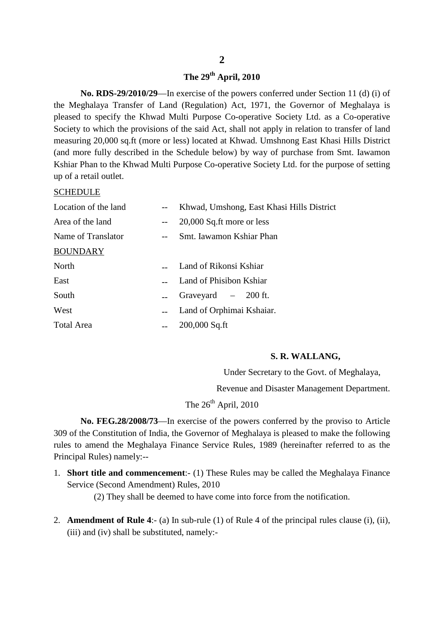### **The 29th April, 2010**

**No. RDS-29/2010/29**—In exercise of the powers conferred under Section 11 (d) (i) of the Meghalaya Transfer of Land (Regulation) Act, 1971, the Governor of Meghalaya is pleased to specify the Khwad Multi Purpose Co-operative Society Ltd. as a Co-operative Society to which the provisions of the said Act, shall not apply in relation to transfer of land measuring 20,000 sq.ft (more or less) located at Khwad. Umshnong East Khasi Hills District (and more fully described in the Schedule below) by way of purchase from Smt. Iawamon Kshiar Phan to the Khwad Multi Purpose Co-operative Society Ltd. for the purpose of setting up of a retail outlet.

#### SCHEDULE

| Location of the land | Khwad, Umshong, East Khasi Hills District |
|----------------------|-------------------------------------------|
| Area of the land     | 20,000 Sq.ft more or less                 |
| Name of Translator   | Smt. Iawamon Kshiar Phan                  |
| <b>BOUNDARY</b>      |                                           |
| North                | Land of Rikonsi Kshiar                    |
| East                 | Land of Phisibon Kshiar                   |
| South                | Graveyard - 200 ft.                       |
| West                 | Land of Orphimai Kshaiar.                 |
| <b>Total Area</b>    | $200,000$ Sq.ft                           |
|                      |                                           |

#### **S. R. WALLANG,**

Under Secretary to the Govt. of Meghalaya,

Revenue and Disaster Management Department.

### The  $26<sup>th</sup>$  April, 2010

**No. FEG.28/2008/73**—In exercise of the powers conferred by the proviso to Article 309 of the Constitution of India, the Governor of Meghalaya is pleased to make the following rules to amend the Meghalaya Finance Service Rules, 1989 (hereinafter referred to as the Principal Rules) namely:--

1. **Short title and commencement**:- (1) These Rules may be called the Meghalaya Finance Service (Second Amendment) Rules, 2010

(2) They shall be deemed to have come into force from the notification.

2. **Amendment of Rule 4**:- (a) In sub-rule (1) of Rule 4 of the principal rules clause (i), (ii), (iii) and (iv) shall be substituted, namely:-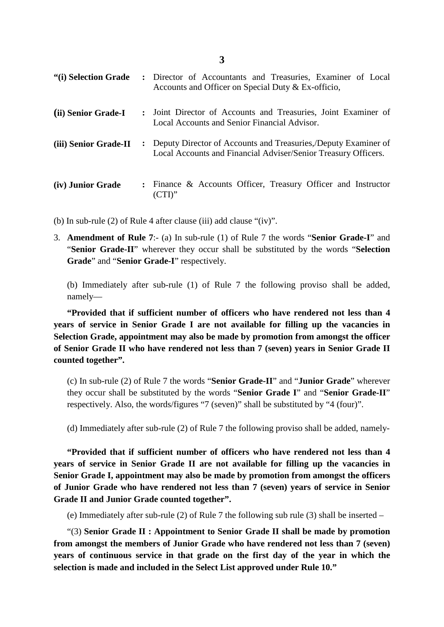| "(i) Selection Grade  |                | : Director of Accountants and Treasuries, Examiner of Local<br>Accounts and Officer on Special Duty & Ex-officio,                |
|-----------------------|----------------|----------------------------------------------------------------------------------------------------------------------------------|
| (ii) Senior Grade-I   |                | : Joint Director of Accounts and Treasuries, Joint Examiner of<br>Local Accounts and Senior Financial Advisor.                   |
| (iii) Senior Grade-II | $\ddot{\cdot}$ | Deputy Director of Accounts and Treasuries, Deputy Examiner of<br>Local Accounts and Financial Adviser/Senior Treasury Officers. |
| (iv) Junior Grade     |                | : Finance & Accounts Officer, Treasury Officer and Instructor<br>$(CTI)$ "                                                       |

(b) In sub-rule (2) of Rule 4 after clause (iii) add clause "(iv)".

3. **Amendment of Rule 7**:- (a) In sub-rule (1) of Rule 7 the words "**Senior Grade-I**" and "**Senior Grade-II**" wherever they occur shall be substituted by the words "**Selection Grade**" and "**Senior Grade-I**" respectively.

(b) Immediately after sub-rule (1) of Rule 7 the following proviso shall be added, namely—

**"Provided that if sufficient number of officers who have rendered not less than 4 years of service in Senior Grade I are not available for filling up the vacancies in Selection Grade, appointment may also be made by promotion from amongst the officer of Senior Grade II who have rendered not less than 7 (seven) years in Senior Grade II counted together".**

(c) In sub-rule (2) of Rule 7 the words "**Senior Grade-II**" and "**Junior Grade**" wherever they occur shall be substituted by the words "**Senior Grade I**" and "**Senior Grade-II**" respectively. Also, the words/figures "7 (seven)" shall be substituted by "4 (four)".

(d) Immediately after sub-rule (2) of Rule 7 the following proviso shall be added, namely-

**"Provided that if sufficient number of officers who have rendered not less than 4 years of service in Senior Grade II are not available for filling up the vacancies in Senior Grade I, appointment may also be made by promotion from amongst the officers of Junior Grade who have rendered not less than 7 (seven) years of service in Senior Grade II and Junior Grade counted together".**

(e) Immediately after sub-rule (2) of Rule 7 the following sub rule (3) shall be inserted –

"(3) **Senior Grade II : Appointment to Senior Grade II shall be made by promotion from amongst the members of Junior Grade who have rendered not less than 7 (seven) years of continuous service in that grade on the first day of the year in which the selection is made and included in the Select List approved under Rule 10."**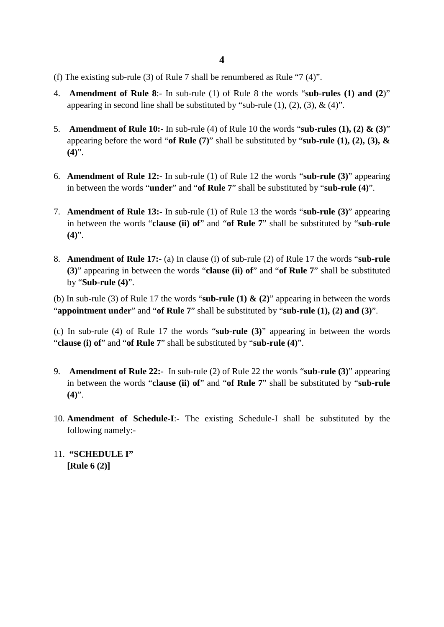- (f) The existing sub-rule (3) of Rule 7 shall be renumbered as Rule "7 (4)".
- 4. **Amendment of Rule 8**:- In sub-rule (1) of Rule 8 the words "**sub-rules (1) and (2**)" appearing in second line shall be substituted by "sub-rule  $(1)$ ,  $(2)$ ,  $(3)$ ,  $\&$   $(4)$ ".
- 5. **Amendment of Rule 10:-** In sub-rule (4) of Rule 10 the words "**sub-rules (1), (2) & (3)**" appearing before the word "**of Rule (7)**" shall be substituted by "**sub-rule (1), (2), (3), & (4)**".
- 6. **Amendment of Rule 12:-** In sub-rule (1) of Rule 12 the words "**sub-rule (3)**" appearing in between the words "**under**" and "**of Rule 7**" shall be substituted by "**sub-rule (4)**".
- 7. **Amendment of Rule 13:-** In sub-rule (1) of Rule 13 the words "**sub-rule (3)**" appearing in between the words "**clause (ii) of**" and "**of Rule 7**" shall be substituted by "**sub-rule (4)**".
- 8. **Amendment of Rule 17:-** (a) In clause (i) of sub-rule (2) of Rule 17 the words "**sub-rule (3)**" appearing in between the words "**clause (ii) of**" and "**of Rule 7**" shall be substituted by "**Sub-rule (4)**".

(b) In sub-rule (3) of Rule 17 the words "**sub-rule (1) & (2)**" appearing in between the words "**appointment under**" and "**of Rule 7**" shall be substituted by "**sub-rule (1), (2) and (3)**".

(c) In sub-rule (4) of Rule 17 the words "**sub-rule (3)**" appearing in between the words "**clause (i) of**" and "**of Rule 7**" shall be substituted by "**sub-rule (4)**".

- 9. **Amendment of Rule 22:-** In sub-rule (2) of Rule 22 the words "**sub-rule (3)**" appearing in between the words "**clause (ii) of**" and "**of Rule 7**" shall be substituted by "**sub-rule (4)**".
- 10. **Amendment of Schedule-I**:- The existing Schedule-I shall be substituted by the following namely:-
- 11. **"SCHEDULE I" [Rule 6 (2)]**